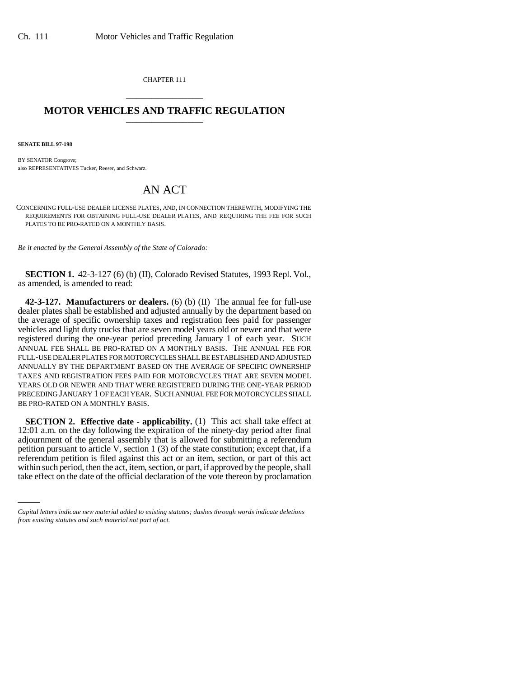CHAPTER 111 \_\_\_\_\_\_\_\_\_\_\_\_\_\_\_

## **MOTOR VEHICLES AND TRAFFIC REGULATION** \_\_\_\_\_\_\_\_\_\_\_\_\_\_\_

**SENATE BILL 97-198**

BY SENATOR Congrove; also REPRESENTATIVES Tucker, Reeser, and Schwarz.

## AN ACT

CONCERNING FULL-USE DEALER LICENSE PLATES, AND, IN CONNECTION THEREWITH, MODIFYING THE REQUIREMENTS FOR OBTAINING FULL-USE DEALER PLATES, AND REQUIRING THE FEE FOR SUCH PLATES TO BE PRO-RATED ON A MONTHLY BASIS.

*Be it enacted by the General Assembly of the State of Colorado:*

**SECTION 1.** 42-3-127 (6) (b) (II), Colorado Revised Statutes, 1993 Repl. Vol., as amended, is amended to read:

**42-3-127. Manufacturers or dealers.** (6) (b) (II) The annual fee for full-use dealer plates shall be established and adjusted annually by the department based on the average of specific ownership taxes and registration fees paid for passenger vehicles and light duty trucks that are seven model years old or newer and that were registered during the one-year period preceding January 1 of each year. SUCH ANNUAL FEE SHALL BE PRO-RATED ON A MONTHLY BASIS. THE ANNUAL FEE FOR FULL-USE DEALER PLATES FOR MOTORCYCLES SHALL BE ESTABLISHED AND ADJUSTED ANNUALLY BY THE DEPARTMENT BASED ON THE AVERAGE OF SPECIFIC OWNERSHIP TAXES AND REGISTRATION FEES PAID FOR MOTORCYCLES THAT ARE SEVEN MODEL YEARS OLD OR NEWER AND THAT WERE REGISTERED DURING THE ONE-YEAR PERIOD PRECEDING JANUARY 1 OF EACH YEAR. SUCH ANNUAL FEE FOR MOTORCYCLES SHALL BE PRO-RATED ON A MONTHLY BASIS.

referendum petition is filed against this act or an item, section, or part of this act **SECTION 2. Effective date - applicability.** (1) This act shall take effect at 12:01 a.m. on the day following the expiration of the ninety-day period after final adjournment of the general assembly that is allowed for submitting a referendum petition pursuant to article V, section 1 (3) of the state constitution; except that, if a within such period, then the act, item, section, or part, if approved by the people, shall take effect on the date of the official declaration of the vote thereon by proclamation

*Capital letters indicate new material added to existing statutes; dashes through words indicate deletions from existing statutes and such material not part of act.*